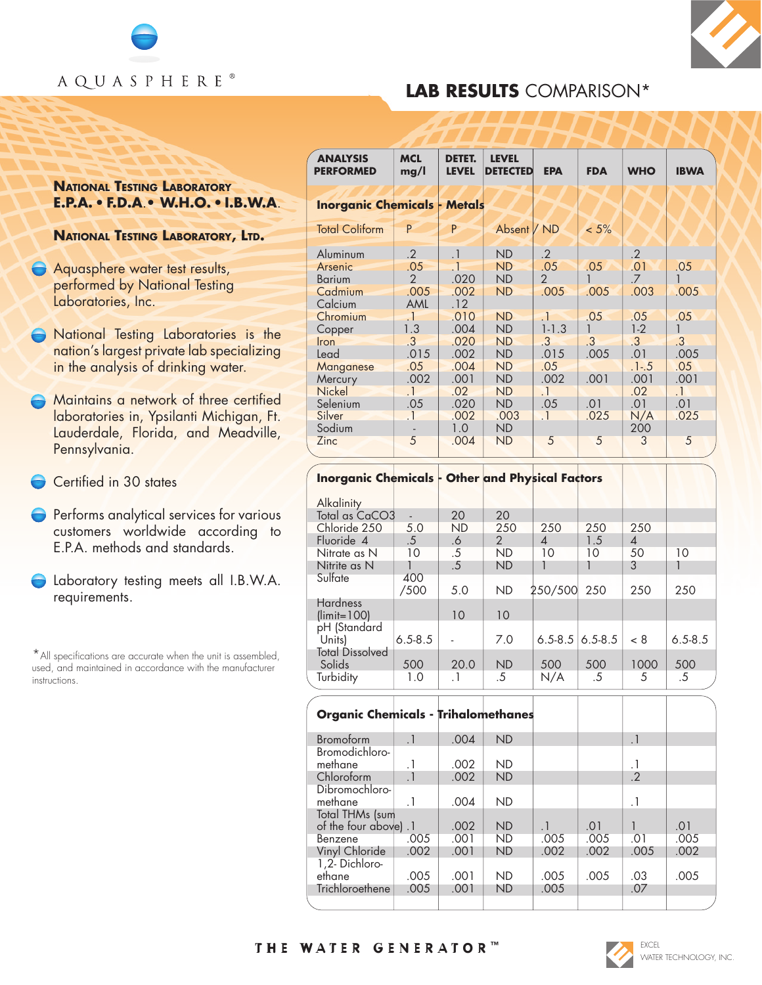



## **LAB RESULTS** COMPARISON\*

## **NATIONAL TESTING LABORATORY E.P.A.** • **F.D.A**.• **W.H.O.** • **I.B.W.A**.

**NATIONAL TESTING LABORATORY, LTD.**

- **Aquasphere water test results,** performed by National Testing Laboratories, Inc.
- **National Testing Laboratories is the** nation's largest private lab specializing in the analysis of drinking water.
- Maintains a network of three certified laboratories in, Ypsilanti Michigan, Ft. Lauderdale, Florida, and Meadville, Pennsylvania.
- Certified in 30 states
- **Performs analytical services for various** customers worldwide according to E.P.A. methods and standards.
- Laboratory testing meets all I.B.W.A. requirements.

\*All specifications are accurate when the unit is assembled, used, and maintained in accordance with the manufacturer instructions.

| <b>ANALYSIS</b><br><b>PERFORMED</b> | <b>MCL</b><br>mg/l | DETET.<br><b>LEVEL</b> | <b>LEVEL</b><br><b>DETECTED</b> | <b>EPA</b>    | <b>FDA</b> | <b>WHO</b>    | <b>IBWA</b> |
|-------------------------------------|--------------------|------------------------|---------------------------------|---------------|------------|---------------|-------------|
| <b>Inorganic Chemicals - Metals</b> |                    |                        |                                 |               |            |               |             |
| <b>Total Coliform</b>               | P                  | P                      | Absent / ND                     |               | $< 5\%$    |               |             |
| Aluminum                            | $\cdot$ .2         | $\cdot$                | <b>ND</b>                       | $\cdot$ 2     |            | $\cdot$ 2     |             |
| Arsenic                             | .05                | $\cdot$ 1              | <b>ND</b>                       | .05           | .05        | .01           | .05         |
| <b>Barium</b>                       | $\mathfrak{D}$     | .020                   | ND                              | $\mathcal{P}$ |            | $\mathcal{I}$ |             |
| Cadmium                             | .005               | .002                   | <b>ND</b>                       | .005          | .005       | .003          | .005        |
| Calcium                             | AML                | .12                    |                                 |               |            |               |             |
| Chromium                            | $\cdot$ 1          | .010                   | <b>ND</b>                       | $\cdot$ 1     | .05        | .05           | .05         |
| Copper                              | 1.3                | .004                   | <b>ND</b>                       | $1 - 1.3$     |            | $1-2$         |             |
| <i>I</i> ron                        | .3                 | .020                   | <b>ND</b>                       | $\cdot$ 3     | .3         | .3            | .3          |
| Lead                                | .015               | .002                   | <b>ND</b>                       | .015          | .005       | .01           | .005        |
| Manganese                           | .05                | .004                   | <b>ND</b>                       | .05           |            | $.1 - .5$     | .05         |
| Mercury                             | .002               | .001                   | <b>ND</b>                       | .002          | .001       | .001          | .001        |
| <b>Nickel</b>                       | $\cdot$            | .02                    | <b>ND</b>                       | $\cdot$ 1     |            | .02           | $\cdot$ 1   |
| Selenium                            | .05                | .020                   | <b>ND</b>                       | .05           | .01        | .01           | .01         |
| Silver                              | $\cdot$            | .002                   | .003                            | $\cdot$ 1     | .025       | N/A           | .025        |
| Sodium                              |                    | 1.0                    | <b>ND</b>                       |               |            | 200           |             |
| Zinc                                | $\overline{5}$     | .004                   | <b>ND</b>                       | 5             | 5          | 3             | 5           |

## **Inorganic Chemicals - Other and Physical Factors**

| <b>Alkalinity</b>          |             |           |                           |                       |     |      |             |
|----------------------------|-------------|-----------|---------------------------|-----------------------|-----|------|-------------|
| Total as CaCO3             |             | 20        | 20                        |                       |     |      |             |
| Chloride 250               | 5.0         | <b>ND</b> | 250                       | 250                   | 250 | 250  |             |
| Fluoride 4                 | .5          | .6        | $\mathbf{2}^{\mathsf{I}}$ | 4                     | 1.5 | 4    |             |
| Nitrate as N               | 10          | .5        | <b>ND</b>                 | 10                    | 10  | 50   | 10          |
| Nitrite as N               |             | .5        | <b>ND</b>                 |                       |     | 3    |             |
| Sulfate                    | 400         |           |                           |                       |     |      |             |
|                            | /500        | 5.0       | <b>ND</b>                 | 250/500               | 250 | 250  | 250         |
| <b>Hardness</b>            |             |           |                           |                       |     |      |             |
| $\left(\right)$ limit=100) |             | 10        | 10                        |                       |     |      |             |
| pH (Standard               |             |           |                           |                       |     |      |             |
| Units)                     | $6.5 - 8.5$ |           | 7.0                       | $6.5 - 8.5$ 6.5 - 8.5 |     | < 8  | $6.5 - 8.5$ |
| <b>Total Dissolved</b>     |             |           |                           |                       |     |      |             |
| Solids                     | 500         | 20.0      | <b>ND</b>                 | 500                   | 500 | 1000 | 500         |
| Turbidity                  | 1.0         | . 1       | .5                        | N/A                   | .5  | 5    | .5          |
|                            |             |           |                           |                       |     |      |             |

| <b>Organic Chemicals - Trihalomethanes</b> |           |      |           |           |      |           |      |
|--------------------------------------------|-----------|------|-----------|-----------|------|-----------|------|
| Bromoform                                  | $\cdot$   | .004 | <b>ND</b> |           |      | $\cdot$ 1 |      |
| Bromodichloro-                             |           |      |           |           |      |           |      |
| methane                                    | $\cdot$ 1 | .002 | <b>ND</b> |           |      | $\cdot$ 1 |      |
| Chloroform                                 |           | .002 | <b>ND</b> |           |      | $\cdot$ 2 |      |
| Dibromochloro-                             |           |      |           |           |      |           |      |
| methane                                    |           | .004 | <b>ND</b> |           |      | $\cdot$ 1 |      |
| Total THMs (sum                            |           |      |           |           |      |           |      |
| of the four above). 1                      |           | .002 | <b>ND</b> | $\cdot$ 1 | .01  |           | .01  |
| Benzene                                    | .005      | .001 | ND        | .005      | .005 | .01       | .005 |
| Vinyl Chloride                             | .002      | .001 | <b>ND</b> | .002      | .002 | .005      | .002 |
| 1,2- Dichloro-                             |           |      |           |           |      |           |      |
| ethane                                     | .005      | .001 | <b>ND</b> | .005      | .005 | .03       | .005 |
| Trichloroethene                            | .005      | .001 | <b>ND</b> | .005      |      | .07       |      |
|                                            |           |      |           |           |      |           |      |

## **T H E W A T E R G E N E R A T O R ™**